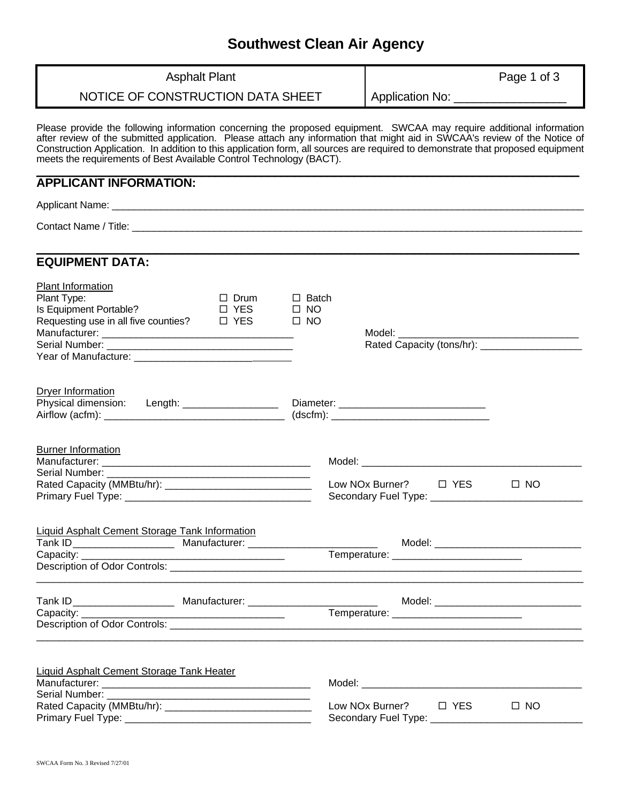# **Southwest Clean Air Agency**

| <b>Asphalt Plant</b><br>NOTICE OF CONSTRUCTION DATA SHEET                                                                                                                                                                                                                                                                                                                                                                                                    |                                           | Application No: ___________________            | Page 1 of 3                           |
|--------------------------------------------------------------------------------------------------------------------------------------------------------------------------------------------------------------------------------------------------------------------------------------------------------------------------------------------------------------------------------------------------------------------------------------------------------------|-------------------------------------------|------------------------------------------------|---------------------------------------|
|                                                                                                                                                                                                                                                                                                                                                                                                                                                              |                                           |                                                |                                       |
| Please provide the following information concerning the proposed equipment. SWCAA may require additional information<br>after review of the submitted application. Please attach any information that might aid in SWCAA's review of the Notice of<br>Construction Application. In addition to this application form, all sources are required to demonstrate that proposed equipment<br>meets the requirements of Best Available Control Technology (BACT). |                                           |                                                |                                       |
| <b>APPLICANT INFORMATION:</b>                                                                                                                                                                                                                                                                                                                                                                                                                                |                                           |                                                |                                       |
|                                                                                                                                                                                                                                                                                                                                                                                                                                                              |                                           |                                                |                                       |
|                                                                                                                                                                                                                                                                                                                                                                                                                                                              |                                           |                                                |                                       |
| <b>EQUIPMENT DATA:</b>                                                                                                                                                                                                                                                                                                                                                                                                                                       |                                           |                                                |                                       |
| Plant Information<br>Plant Type:<br>$\Box$ Drum<br>Is Equipment Portable?<br>$\Box$ YES<br>Requesting use in all five counties? $\Box$ YES                                                                                                                                                                                                                                                                                                                   | $\Box$ Batch<br>$\square$ NO<br>$\Box$ NO |                                                |                                       |
| Dryer Information<br>Physical dimension: Length: ___________________ Diameter: ______________________                                                                                                                                                                                                                                                                                                                                                        |                                           |                                                |                                       |
| <b>Burner Information</b><br>Serial Number:                                                                                                                                                                                                                                                                                                                                                                                                                  |                                           | Secondary Fuel Type: _________________________ | $\square$ NO                          |
| <b>Liquid Asphalt Cement Storage Tank Information</b><br>Capacity: __________                                                                                                                                                                                                                                                                                                                                                                                |                                           |                                                |                                       |
|                                                                                                                                                                                                                                                                                                                                                                                                                                                              |                                           | Temperature: _____________________________     | Model: ______________________________ |
| <b>Liquid Asphalt Cement Storage Tank Heater</b>                                                                                                                                                                                                                                                                                                                                                                                                             |                                           |                                                | $\Box$ NO                             |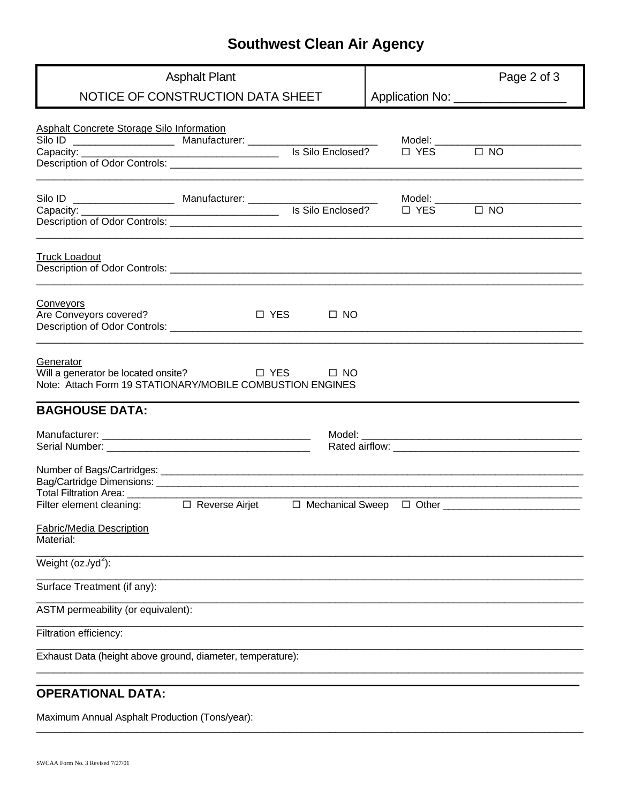## **Southwest Clean Air Agency**

| <b>Asphalt Plant</b>                                                                                                                                                            |  |                      | Page 2 of 3                          |  |  |  |
|---------------------------------------------------------------------------------------------------------------------------------------------------------------------------------|--|----------------------|--------------------------------------|--|--|--|
| NOTICE OF CONSTRUCTION DATA SHEET                                                                                                                                               |  |                      | Application No: ___________________  |  |  |  |
| <b>Asphalt Concrete Storage Silo Information</b><br>Silo ID _______________________ Manufacturer: __________________________________<br>Is Silo Enclosed?<br>Capacity: ________ |  | $\Box$ YES $\Box$ NO | Model: _____________________________ |  |  |  |
|                                                                                                                                                                                 |  |                      |                                      |  |  |  |
| <b>Truck Loadout</b>                                                                                                                                                            |  |                      |                                      |  |  |  |
| Conveyors<br>Are Conveyors covered?<br>$\Box$ YES $\Box$ NO                                                                                                                     |  |                      |                                      |  |  |  |
| Generator<br>Will a generator be located onsite? □ YES □ NO<br>Note: Attach Form 19 STATIONARY/MOBILE COMBUSTION ENGINES                                                        |  |                      |                                      |  |  |  |
| <b>BAGHOUSE DATA:</b>                                                                                                                                                           |  |                      |                                      |  |  |  |
|                                                                                                                                                                                 |  |                      |                                      |  |  |  |
| Total Filtration Area: _________                                                                                                                                                |  |                      |                                      |  |  |  |
|                                                                                                                                                                                 |  |                      |                                      |  |  |  |
| <b>Fabric/Media Description</b><br>Material:                                                                                                                                    |  |                      |                                      |  |  |  |
| Weight ( $oz.(yd^2)$ :                                                                                                                                                          |  |                      |                                      |  |  |  |
| Surface Treatment (if any):                                                                                                                                                     |  |                      |                                      |  |  |  |
| ASTM permeability (or equivalent):                                                                                                                                              |  |                      |                                      |  |  |  |
| Filtration efficiency:                                                                                                                                                          |  |                      |                                      |  |  |  |
| Exhaust Data (height above ground, diameter, temperature):                                                                                                                      |  |                      |                                      |  |  |  |
| <b>OPERATIONAL DATA:</b>                                                                                                                                                        |  |                      |                                      |  |  |  |

Maximum Annual Asphalt Production (Tons/year):